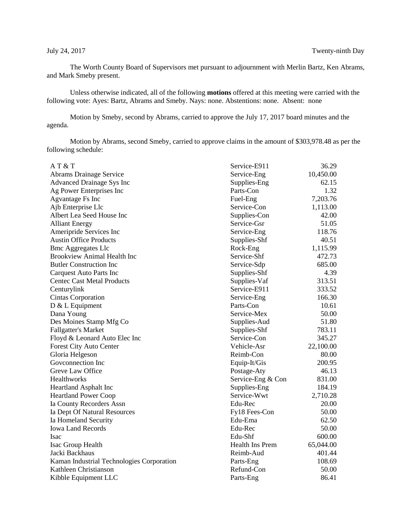The Worth County Board of Supervisors met pursuant to adjournment with Merlin Bartz, Ken Abrams, and Mark Smeby present.

Unless otherwise indicated, all of the following **motions** offered at this meeting were carried with the following vote: Ayes: Bartz, Abrams and Smeby. Nays: none. Abstentions: none. Absent: none

Motion by Smeby, second by Abrams, carried to approve the July 17, 2017 board minutes and the agenda.

Motion by Abrams, second Smeby, carried to approve claims in the amount of \$303,978.48 as per the following schedule:

| AT&T                                      | Service-E911      | 36.29     |
|-------------------------------------------|-------------------|-----------|
| <b>Abrams Drainage Service</b>            | Service-Eng       | 10,450.00 |
| <b>Advanced Drainage Sys Inc</b>          | Supplies-Eng      | 62.15     |
| Ag Power Enterprises Inc                  | Parts-Con         | 1.32      |
| Agvantage Fs Inc                          | Fuel-Eng          | 7,203.76  |
| Ajb Enterprise Llc                        | Service-Con       | 1,113.00  |
| Albert Lea Seed House Inc                 | Supplies-Con      | 42.00     |
| <b>Alliant Energy</b>                     | Service-Gsr       | 51.05     |
| Ameripride Services Inc                   | Service-Eng       | 118.76    |
| <b>Austin Office Products</b>             | Supplies-Shf      | 40.51     |
| <b>Bmc Aggregates Llc</b>                 | Rock-Eng          | 1,115.99  |
| <b>Brookview Animal Health Inc</b>        | Service-Shf       | 472.73    |
| <b>Butler Construction Inc</b>            | Service-Sdp       | 685.00    |
| Carquest Auto Parts Inc                   | Supplies-Shf      | 4.39      |
| <b>Centec Cast Metal Products</b>         | Supplies-Vaf      | 313.51    |
| Centurylink                               | Service-E911      | 333.52    |
| <b>Cintas Corporation</b>                 | Service-Eng       | 166.30    |
| $D & L$ Equipment                         | Parts-Con         | 10.61     |
| Dana Young                                | Service-Mex       | 50.00     |
| Des Moines Stamp Mfg Co                   | Supplies-Aud      | 51.80     |
| <b>Fallgatter's Market</b>                | Supplies-Shf      | 783.11    |
| Floyd & Leonard Auto Elec Inc             | Service-Con       | 345.27    |
| <b>Forest City Auto Center</b>            | Vehicle-Asr       | 22,100.00 |
| Gloria Helgeson                           | Reimb-Con         | 80.00     |
| Goveonnection Inc                         | Equip-It/Gis      | 200.95    |
| Greve Law Office                          | Postage-Aty       | 46.13     |
| Healthworks                               | Service-Eng & Con | 831.00    |
| <b>Heartland Asphalt Inc</b>              | Supplies-Eng      | 184.19    |
| <b>Heartland Power Coop</b>               | Service-Wwt       | 2,710.28  |
| Ia County Recorders Assn                  | Edu-Rec           | 20.00     |
| Ia Dept Of Natural Resources              | Fy18 Fees-Con     | 50.00     |
| Ia Homeland Security                      | Edu-Ema           | 62.50     |
| <b>Iowa Land Records</b>                  | Edu-Rec           | 50.00     |
| <b>Isac</b>                               | Edu-Shf           | 600.00    |
| Isac Group Health                         | Health Ins Prem   | 65,044.00 |
| Jacki Backhaus                            | Reimb-Aud         | 401.44    |
| Kaman Industrial Technologies Corporation | Parts-Eng         | 108.69    |
| Kathleen Christianson                     | Refund-Con        | 50.00     |
| Kibble Equipment LLC                      | Parts-Eng         | 86.41     |